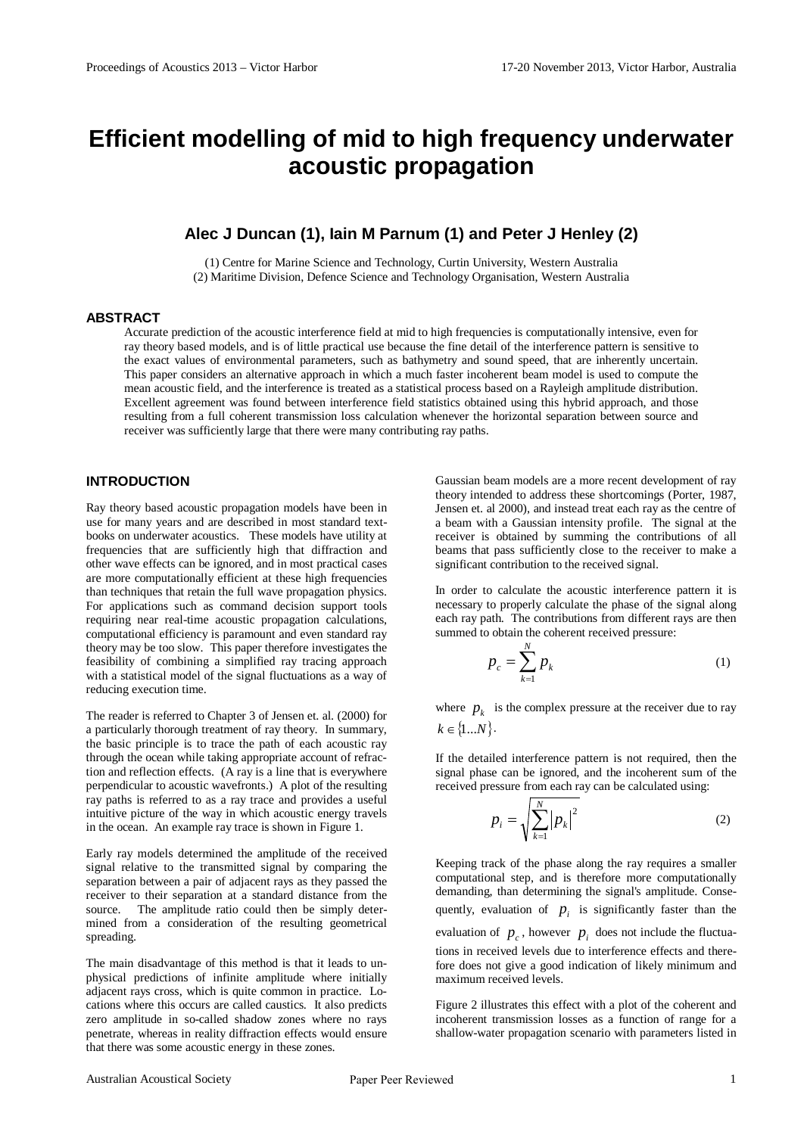# **Efficient modelling of mid to high frequency underwater acoustic propagation**

## **Alec J Duncan (1), Iain M Parnum (1) and Peter J Henley (2)**

(1) Centre for Marine Science and Technology, Curtin University, Western Australia (2) Maritime Division, Defence Science and Technology Organisation, Western Australia

## **ABSTRACT**

Accurate prediction of the acoustic interference field at mid to high frequencies is computationally intensive, even for ray theory based models, and is of little practical use because the fine detail of the interference pattern is sensitive to the exact values of environmental parameters, such as bathymetry and sound speed, that are inherently uncertain. This paper considers an alternative approach in which a much faster incoherent beam model is used to compute the mean acoustic field, and the interference is treated as a statistical process based on a Rayleigh amplitude distribution. Excellent agreement was found between interference field statistics obtained using this hybrid approach, and those resulting from a full coherent transmission loss calculation whenever the horizontal separation between source and receiver was sufficiently large that there were many contributing ray paths.

## **INTRODUCTION**

Ray theory based acoustic propagation models have been in use for many years and are described in most standard textbooks on underwater acoustics. These models have utility at frequencies that are sufficiently high that diffraction and other wave effects can be ignored, and in most practical cases are more computationally efficient at these high frequencies than techniques that retain the full wave propagation physics. For applications such as command decision support tools requiring near real-time acoustic propagation calculations, computational efficiency is paramount and even standard ray theory may be too slow. This paper therefore investigates the feasibility of combining a simplified ray tracing approach with a statistical model of the signal fluctuations as a way of reducing execution time.

The reader is referred to Chapter 3 of Jensen et. al. (2000) for a particularly thorough treatment of ray theory. In summary, the basic principle is to trace the path of each acoustic ray through the ocean while taking appropriate account of refraction and reflection effects. (A ray is a line that is everywhere perpendicular to acoustic wavefronts.) A plot of the resulting ray paths is referred to as a ray trace and provides a useful intuitive picture of the way in which acoustic energy travels in the ocean. An example ray trace is shown in Figure 1.

Early ray models determined the amplitude of the received signal relative to the transmitted signal by comparing the separation between a pair of adjacent rays as they passed the receiver to their separation at a standard distance from the source. The amplitude ratio could then be simply determined from a consideration of the resulting geometrical spreading.

The main disadvantage of this method is that it leads to unphysical predictions of infinite amplitude where initially adjacent rays cross, which is quite common in practice. Locations where this occurs are called caustics. It also predicts zero amplitude in so-called shadow zones where no rays penetrate, whereas in reality diffraction effects would ensure that there was some acoustic energy in these zones.

Gaussian beam models are a more recent development of ray theory intended to address these shortcomings (Porter, 1987, Jensen et. al 2000), and instead treat each ray as the centre of a beam with a Gaussian intensity profile. The signal at the receiver is obtained by summing the contributions of all beams that pass sufficiently close to the receiver to make a significant contribution to the received signal.

In order to calculate the acoustic interference pattern it is necessary to properly calculate the phase of the signal along each ray path. The contributions from different rays are then summed to obtain the coherent received pressure:

$$
p_c = \sum_{k=1}^{N} p_k \tag{1}
$$

where  $p_k$  is the complex pressure at the receiver due to ray  $k \in \{1...N\}.$ 

If the detailed interference pattern is not required, then the signal phase can be ignored, and the incoherent sum of the received pressure from each ray can be calculated using:

$$
p_i = \sqrt{\sum_{k=1}^{N} |p_k|^2}
$$
 (2)

Keeping track of the phase along the ray requires a smaller computational step, and is therefore more computationally demanding, than determining the signal's amplitude. Consequently, evaluation of  $p_i$  is significantly faster than the evaluation of  $p_c$ , however  $p_i$  does not include the fluctuations in received levels due to interference effects and therefore does not give a good indication of likely minimum and maximum received levels.

Figure 2 illustrates this effect with a plot of the coherent and incoherent transmission losses as a function of range for a shallow-water propagation scenario with parameters listed in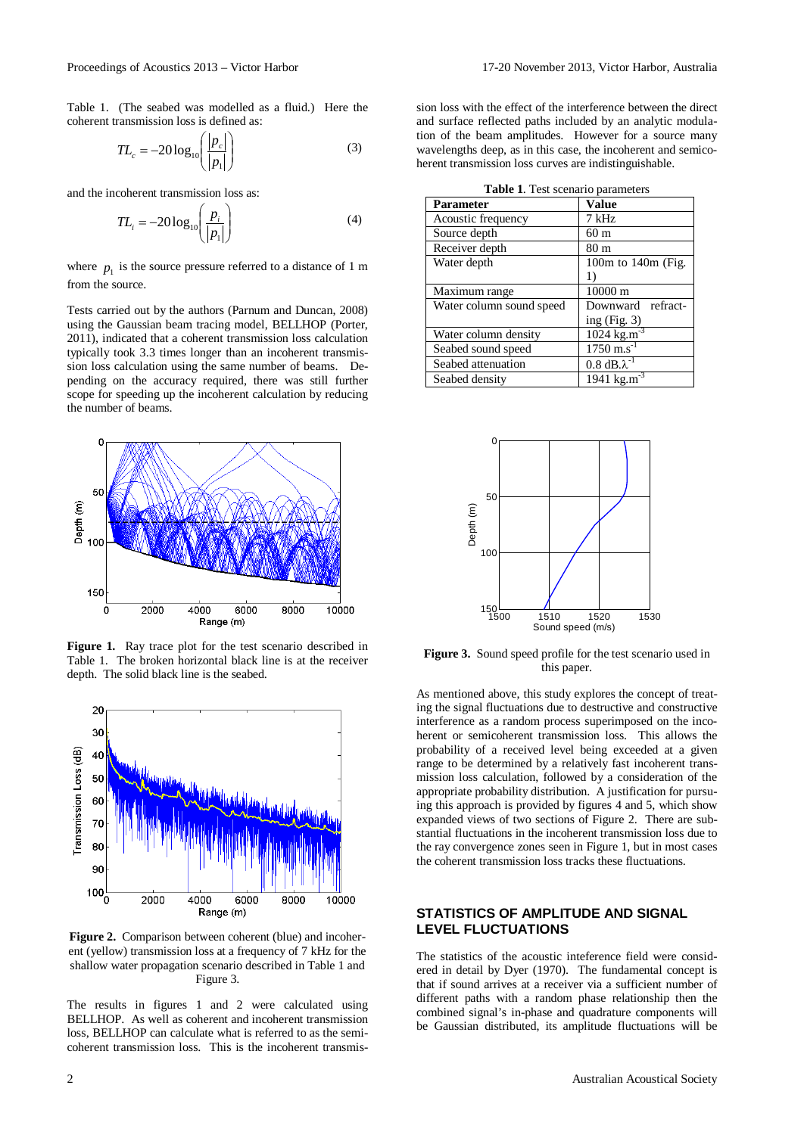Table 1. (The seabed was modelled as a fluid.) Here the coherent transmission loss is defined as:

$$
TL_c = -20\log_{10}\left(\frac{|p_c|}{|p_1|}\right) \tag{3}
$$

and the incoherent transmission loss as:

$$
TL_i = -20\log_{10}\left(\frac{p_i}{|p_1|}\right) \tag{4}
$$

where  $p_1$  is the source pressure referred to a distance of 1 m from the source.

Tests carried out by the authors (Parnum and Duncan, 2008) using the Gaussian beam tracing model, BELLHOP (Porter, 2011), indicated that a coherent transmission loss calculation typically took 3.3 times longer than an incoherent transmission loss calculation using the same number of beams. Depending on the accuracy required, there was still further scope for speeding up the incoherent calculation by reducing the number of beams.



**Figure 1.** Ray trace plot for the test scenario described in Table 1. The broken horizontal black line is at the receiver depth. The solid black line is the seabed.



**Figure 2.** Comparison between coherent (blue) and incoherent (yellow) transmission loss at a frequency of 7 kHz for the shallow water propagation scenario described in Table 1 and Figure 3.

The results in figures 1 and 2 were calculated using BELLHOP. As well as coherent and incoherent transmission loss, BELLHOP can calculate what is referred to as the semicoherent transmission loss. This is the incoherent transmission loss with the effect of the interference between the direct and surface reflected paths included by an analytic modulation of the beam amplitudes. However for a source many wavelengths deep, as in this case, the incoherent and semicoherent transmission loss curves are indistinguishable.

|  | <b>Table 1.</b> Test scenario parameters |
|--|------------------------------------------|
|  |                                          |
|  |                                          |

| <b>Table 1.</b> Test section to parameters |                                       |  |  |
|--------------------------------------------|---------------------------------------|--|--|
| <b>Parameter</b>                           | Value                                 |  |  |
| Acoustic frequency                         | 7 kHz                                 |  |  |
| Source depth                               | 60 <sub>m</sub>                       |  |  |
| Receiver depth                             | 80 <sub>m</sub>                       |  |  |
| Water depth                                | 100 $m$ to 140 $m$ (Fig.              |  |  |
|                                            | 1)                                    |  |  |
| Maximum range                              | 10000 m                               |  |  |
| Water column sound speed                   | Downward refract-                     |  |  |
|                                            | ing $(Fig. 3)$                        |  |  |
| Water column density                       | $1024 \text{ kg} \cdot \text{m}^{-3}$ |  |  |
| Seabed sound speed                         | $1750 \text{ m.s}^{-1}$               |  |  |
| Seabed attenuation                         | $0.8$ dB. $\lambda^{-1}$              |  |  |
| Seabed density                             | 1941 kg.m                             |  |  |



**Figure 3.** Sound speed profile for the test scenario used in this paper.

As mentioned above, this study explores the concept of treating the signal fluctuations due to destructive and constructive interference as a random process superimposed on the incoherent or semicoherent transmission loss. This allows the probability of a received level being exceeded at a given range to be determined by a relatively fast incoherent transmission loss calculation, followed by a consideration of the appropriate probability distribution. A justification for pursuing this approach is provided by figures 4 and 5, which show expanded views of two sections of Figure 2. There are substantial fluctuations in the incoherent transmission loss due to the ray convergence zones seen in Figure 1, but in most cases the coherent transmission loss tracks these fluctuations.

## **STATISTICS OF AMPLITUDE AND SIGNAL LEVEL FLUCTUATIONS**

The statistics of the acoustic inteference field were considered in detail by Dyer (1970). The fundamental concept is that if sound arrives at a receiver via a sufficient number of different paths with a random phase relationship then the combined signal's in-phase and quadrature components will be Gaussian distributed, its amplitude fluctuations will be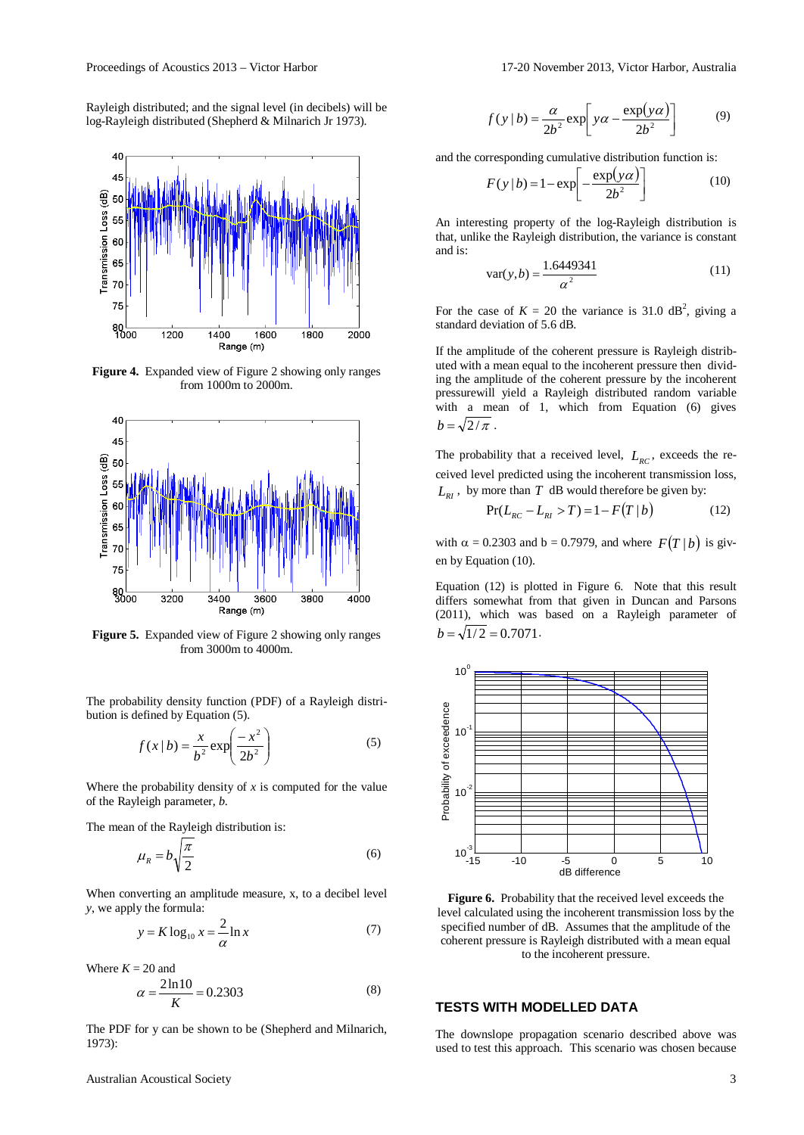Proceedings of Acoustics 2013 – Victor Harbor 17-20 November 2013, Victor Harbor, Australia

Rayleigh distributed; and the signal level (in decibels) will be log-Rayleigh distributed (Shepherd & Milnarich Jr 1973).



**Figure 4.** Expanded view of Figure 2 showing only ranges from 1000m to 2000m.



**Figure 5.** Expanded view of Figure 2 showing only ranges from 3000m to 4000m.

The probability density function (PDF) of a Rayleigh distribution is defined by Equation (5).

$$
f(x \mid b) = \frac{x}{b^2} \exp\left(\frac{-x^2}{2b^2}\right) \tag{5}
$$

Where the probability density of  $x$  is computed for the value of the Rayleigh parameter, *b*.

The mean of the Rayleigh distribution is:

$$
\mu_R = b \sqrt{\frac{\pi}{2}} \tag{6}
$$

When converting an amplitude measure, x, to a decibel level *y*, we apply the formula:

$$
y = K \log_{10} x = \frac{2}{\alpha} \ln x \tag{7}
$$

Where  $K = 20$  and

$$
\alpha = \frac{2\ln 10}{K} = 0.2303\tag{8}
$$

The PDF for y can be shown to be (Shepherd and Milnarich, 1973):

$$
f(y | b) = \frac{\alpha}{2b^2} \exp\left[ y\alpha - \frac{\exp(y\alpha)}{2b^2} \right]
$$
 (9)

and the corresponding cumulative distribution function is:

$$
F(y | b) = 1 - \exp\left[-\frac{\exp(y\alpha)}{2b^2}\right] \tag{10}
$$

An interesting property of the log-Rayleigh distribution is that, unlike the Rayleigh distribution, the variance is constant and is:

$$
var(y, b) = \frac{1.6449341}{\alpha^2}
$$
 (11)

For the case of  $K = 20$  the variance is 31.0 dB<sup>2</sup>, giving a standard deviation of 5.6 dB.

If the amplitude of the coherent pressure is Rayleigh distributed with a mean equal to the incoherent pressure then dividing the amplitude of the coherent pressure by the incoherent pressurewill yield a Rayleigh distributed random variable with a mean of 1, which from Equation (6) gives  $b = \sqrt{2/\pi}$ .

The probability that a received level,  $L_{RC}$ , exceeds the received level predicted using the incoherent transmission loss,  $L_{RI}$ , by more than *T* dB would therefore be given by:

$$
Pr(L_{RC} - L_{RI} > T) = 1 - F(T | b)
$$
 (12)

with  $\alpha = 0.2303$  and  $b = 0.7979$ , and where  $F(T | b)$  is given by Equation (10).

Equation (12) is plotted in Figure 6. Note that this result differs somewhat from that given in Duncan and Parsons (2011), which was based on a Rayleigh parameter of  $b = \sqrt{1/2} = 0.7071$ .



**Figure 6.** Probability that the received level exceeds the level calculated using the incoherent transmission loss by the specified number of dB. Assumes that the amplitude of the coherent pressure is Rayleigh distributed with a mean equal to the incoherent pressure.

### **TESTS WITH MODELLED DATA**

The downslope propagation scenario described above was used to test this approach. This scenario was chosen because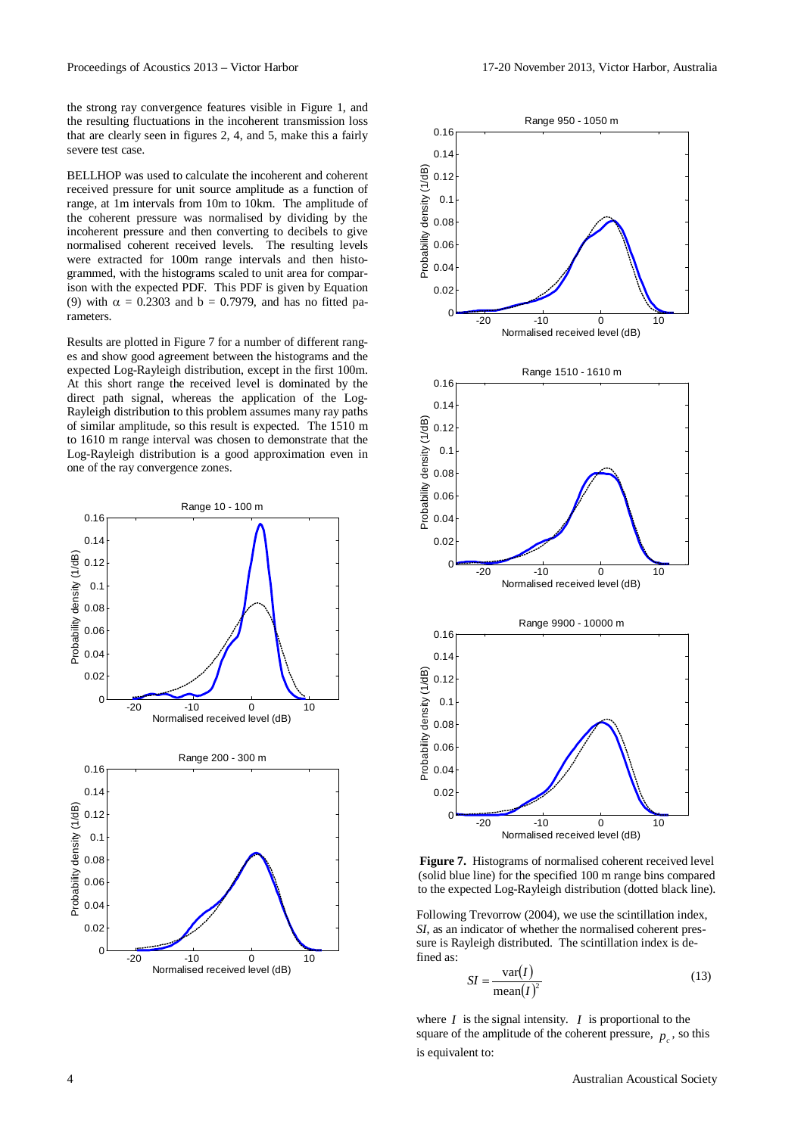the strong ray convergence features visible in Figure 1, and the resulting fluctuations in the incoherent transmission loss that are clearly seen in figures 2, 4, and 5, make this a fairly severe test case.

BELLHOP was used to calculate the incoherent and coherent received pressure for unit source amplitude as a function of range, at 1m intervals from 10m to 10km. The amplitude of the coherent pressure was normalised by dividing by the incoherent pressure and then converting to decibels to give normalised coherent received levels. The resulting levels were extracted for 100m range intervals and then histogrammed, with the histograms scaled to unit area for comparison with the expected PDF. This PDF is given by Equation (9) with  $\alpha = 0.2303$  and  $b = 0.7979$ , and has no fitted parameters.

Results are plotted in Figure 7 for a number of different ranges and show good agreement between the histograms and the expected Log-Rayleigh distribution, except in the first 100m. At this short range the received level is dominated by the direct path signal, whereas the application of the Log-Rayleigh distribution to this problem assumes many ray paths of similar amplitude, so this result is expected. The 1510 m to 1610 m range interval was chosen to demonstrate that the Log-Rayleigh distribution is a good approximation even in one of the ray convergence zones.





**Figure 7.** Histograms of normalised coherent received level (solid blue line) for the specified 100 m range bins compared to the expected Log-Rayleigh distribution (dotted black line).

Following Trevorrow (2004), we use the scintillation index, *SI*, as an indicator of whether the normalised coherent pressure is Rayleigh distributed. The scintillation index is defined as:

$$
SI = \frac{\text{var}(I)}{\text{mean}(I)^2} \tag{13}
$$

where  $I$  is the signal intensity.  $I$  is proportional to the square of the amplitude of the coherent pressure,  $p_{\rho}$ , so this is equivalent to: